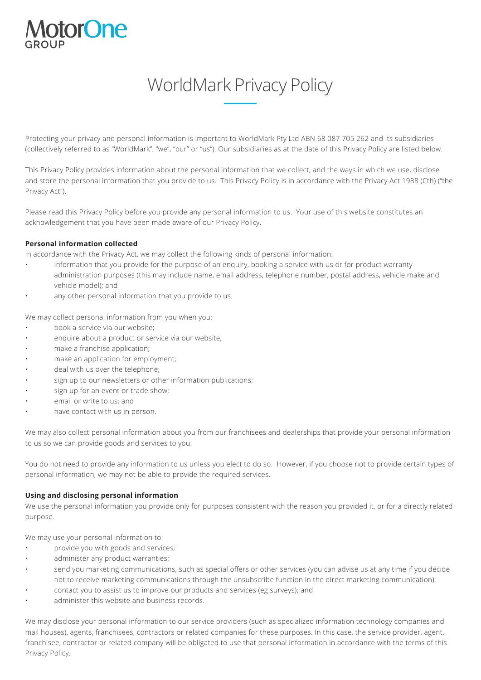# **ptorOne**

# WorldMark Privacy Policy

Protecting your privacy and personal information is important to WorldMark Pty Ltd ABN 68 087 705 262 and its subsidiaries (collectively referred to as "WorldMark", "we", "our" or "us"). Our subsidiaries as at the date of this Privacy Policy are listed below.

This Privacy Policy provides information about the personal information that we collect, and the ways in which we use, disclose and store the personal information that you provide to us. This Privacy Policy is in accordance with the Privacy Act 1988 (Cth) ("the Privacy Act").

Please read this Privacy Policy before you provide any personal information to us. Your use of this website constitutes an acknowledgement that you have been made aware of our Privacy Policy.

#### **Personal information collected**

In accordance with the Privacy Act, we may collect the following kinds of personal information:

- information that you provide for the purpose of an enquiry, booking a service with us or for product warranty administration purposes (this may include name, email address, telephone number, postal address, vehicle make and vehicle model); and
- any other personal information that you provide to us.

We may collect personal information from you when you:

- book a service via our website;
- enquire about a product or service via our website;
- make a franchise application;
- make an application for employment;
- deal with us over the telephone;
- sign up to our newsletters or other information publications;
- sign up for an event or trade show;
- email or write to us; and
- have contact with us in person.

We may also collect personal information about you from our franchisees and dealerships that provide your personal information to us so we can provide goods and services to you.

You do not need to provide any information to us unless you elect to do so. However, if you choose not to provide certain types of personal information, we may not be able to provide the required services.

#### **Using and disclosing personal information**

We use the personal information you provide only for purposes consistent with the reason you provided it, or for a directly related purpose.

We may use your personal information to:

- provide you with goods and services;
- administer any product warranties;
- send you marketing communications, such as special offers or other services (you can advise us at any time if you decide not to receive marketing communications through the unsubscribe function in the direct marketing communication);
- contact you to assist us to improve our products and services (eg surveys); and
- administer this website and business records.

We may disclose your personal information to our service providers (such as specialized information technology companies and mail houses), agents, franchisees, contractors or related companies for these purposes. In this case, the service provider, agent, franchisee, contractor or related company will be obligated to use that personal information in accordance with the terms of this Privacy Policy.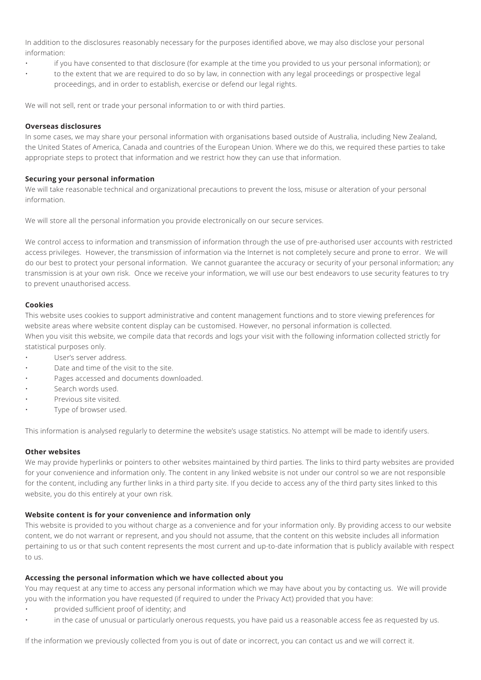In addition to the disclosures reasonably necessary for the purposes identified above, we may also disclose your personal information:

- if you have consented to that disclosure (for example at the time you provided to us your personal information); or
- to the extent that we are required to do so by law, in connection with any legal proceedings or prospective legal proceedings, and in order to establish, exercise or defend our legal rights.

We will not sell, rent or trade your personal information to or with third parties.

#### **Overseas disclosures**

In some cases, we may share your personal information with organisations based outside of Australia, including New Zealand, the United States of America, Canada and countries of the European Union. Where we do this, we required these parties to take appropriate steps to protect that information and we restrict how they can use that information.

#### **Securing your personal information**

We will take reasonable technical and organizational precautions to prevent the loss, misuse or alteration of your personal information.

We will store all the personal information you provide electronically on our secure services.

We control access to information and transmission of information through the use of pre-authorised user accounts with restricted access privileges. However, the transmission of information via the Internet is not completely secure and prone to error. We will do our best to protect your personal information. We cannot guarantee the accuracy or security of your personal information; any transmission is at your own risk. Once we receive your information, we will use our best endeavors to use security features to try to prevent unauthorised access.

#### **Cookies**

This website uses cookies to support administrative and content management functions and to store viewing preferences for website areas where website content display can be customised. However, no personal information is collected. When you visit this website, we compile data that records and logs your visit with the following information collected strictly for statistical purposes only.

- User's server address.
- Date and time of the visit to the site.
- Pages accessed and documents downloaded.
- Search words used.
- Previous site visited.
- Type of browser used.

This information is analysed regularly to determine the website's usage statistics. No attempt will be made to identify users.

# **Other websites**

We may provide hyperlinks or pointers to other websites maintained by third parties. The links to third party websites are provided for your convenience and information only. The content in any linked website is not under our control so we are not responsible for the content, including any further links in a third party site. If you decide to access any of the third party sites linked to this website, you do this entirely at your own risk.

# **Website content is for your convenience and information only**

This website is provided to you without charge as a convenience and for your information only. By providing access to our website content, we do not warrant or represent, and you should not assume, that the content on this website includes all information pertaining to us or that such content represents the most current and up-to-date information that is publicly available with respect to us.

# **Accessing the personal information which we have collected about you**

You may request at any time to access any personal information which we may have about you by contacting us. We will provide you with the information you have requested (if required to under the Privacy Act) provided that you have:

- provided sufficient proof of identity; and
- in the case of unusual or particularly onerous requests, you have paid us a reasonable access fee as requested by us.

If the information we previously collected from you is out of date or incorrect, you can contact us and we will correct it.